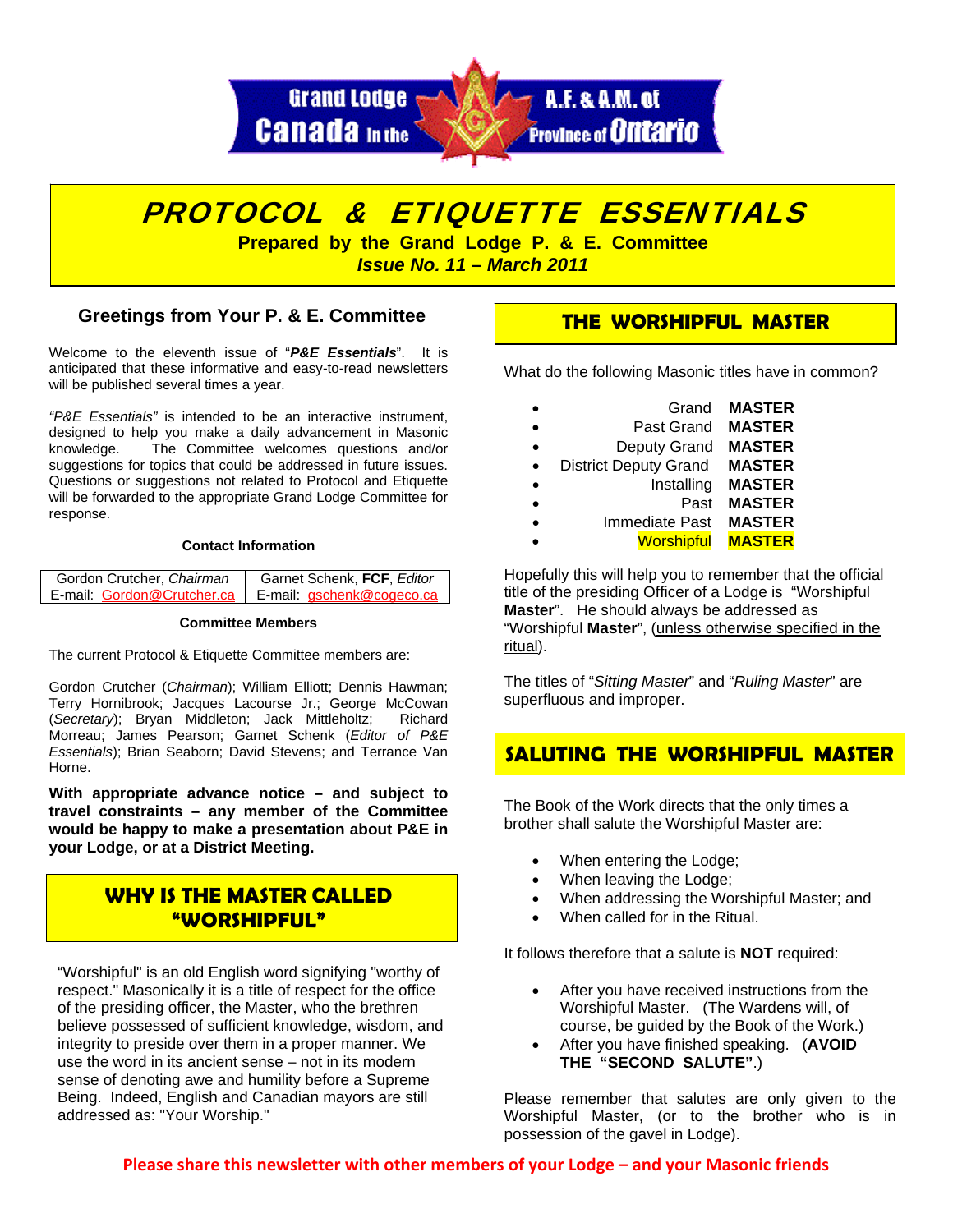



## **Greetings from Your P. & E. Committee**

Welcome to the eleventh issue of "*P&E Essentials*". It is anticipated that these informative and easy-to-read newsletters will be published several times a year.

*"P&E Essentials"* is intended to be an interactive instrument, designed to help you make a daily advancement in Masonic knowledge. The Committee welcomes questions and/or suggestions for topics that could be addressed in future issues. Questions or suggestions not related to Protocol and Etiquette will be forwarded to the appropriate Grand Lodge Committee for response.

### **Contact Information**

| Gordon Crutcher, Chairman  | Garnet Schenk, FCF, Editor |  |
|----------------------------|----------------------------|--|
| E-mail: Gordon@Crutcher.ca | E-mail: gschenk@cogeco.ca  |  |

#### **Committee Members**

The current Protocol & Etiquette Committee members are:

Gordon Crutcher (*Chairman*); William Elliott; Dennis Hawman; Terry Hornibrook; Jacques Lacourse Jr.; George McCowan (*Secretary*); Bryan Middleton; Jack Mittleholtz; Richard Morreau; James Pearson; Garnet Schenk (*Editor of P&E Essentials*); Brian Seaborn; David Stevens; and Terrance Van Horne.

**With appropriate advance notice – and subject to travel constraints – any member of the Committee would be happy to make a presentation about P&E in your Lodge, or at a District Meeting.**

# **WHY IS THE MASTER CALLED "WORSHIPFUL"**

"Worshipful" is an old English word signifying "worthy of respect." Masonically it is a title of respect for the office of the presiding officer, the Master, who the brethren believe possessed of sufficient knowledge, wisdom, and integrity to preside over them in a proper manner. We use the word in its ancient sense – not in its modern sense of denoting awe and humility before a Supreme Being. Indeed, English and Canadian mayors are still addressed as: "Your Worship."

### **THE WORSHIPFUL MASTER**

What do the following Masonic titles have in common?

| Grand                        | <b>MASTER</b> |
|------------------------------|---------------|
| Past Grand                   | <b>MASTER</b> |
| Deputy Grand                 | <b>MASTER</b> |
| <b>District Deputy Grand</b> | <b>MASTER</b> |
| Installing                   | <b>MASTER</b> |
| Past                         | <b>MASTER</b> |
| Immediate Past               | <b>MASTER</b> |
| <b>Worshipful</b>            | <b>MASTER</b> |

Hopefully this will help you to remember that the official title of the presiding Officer of a Lodge is "Worshipful **Master**". He should always be addressed as "Worshipful **Master**", (unless otherwise specified in the ritual).

The titles of "*Sitting Master*" and "*Ruling Master*" are superfluous and improper.

# **SALUTING THE WORSHIPFUL MASTER**

The Book of the Work directs that the only times a brother shall salute the Worshipful Master are:

- When entering the Lodge;
- When leaving the Lodge;
- When addressing the Worshipful Master; and
- When called for in the Ritual.

It follows therefore that a salute is **NOT** required:

- After you have received instructions from the Worshipful Master. (The Wardens will, of course, be guided by the Book of the Work.)
- After you have finished speaking. (**AVOID THE "SECOND SALUTE"**.)

Please remember that salutes are only given to the Worshipful Master, (or to the brother who is in possession of the gavel in Lodge).